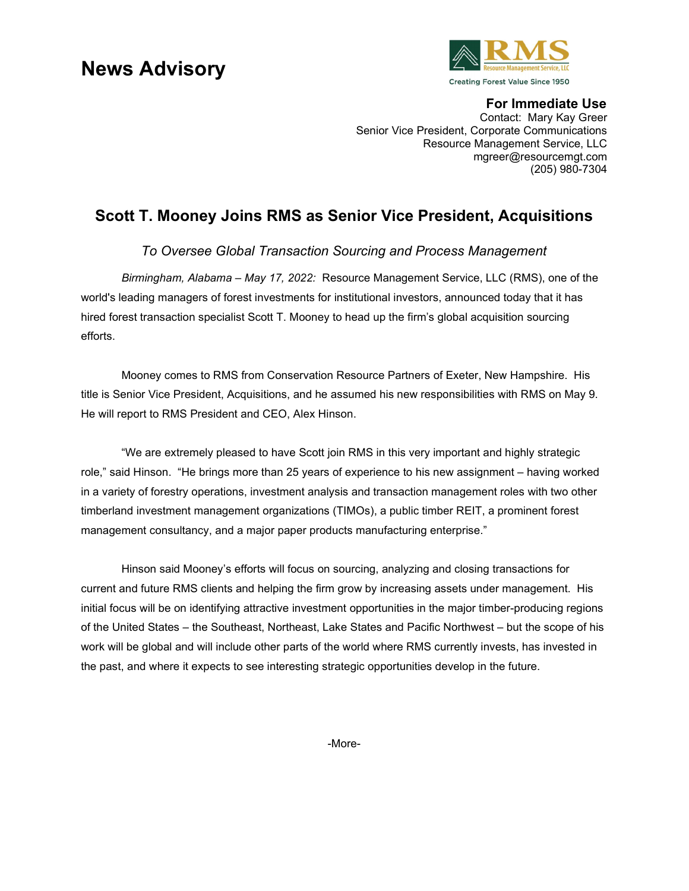# News Advisory



### For Immediate Use

Contact: Mary Kay Greer Senior Vice President, Corporate Communications Resource Management Service, LLC mgreer@resourcemgt.com (205) 980-7304

## Scott T. Mooney Joins RMS as Senior Vice President, Acquisitions

To Oversee Global Transaction Sourcing and Process Management

 Birmingham, Alabama – May 17, 2022: Resource Management Service, LLC (RMS), one of the world's leading managers of forest investments for institutional investors, announced today that it has hired forest transaction specialist Scott T. Mooney to head up the firm's global acquisition sourcing efforts.

Mooney comes to RMS from Conservation Resource Partners of Exeter, New Hampshire. His title is Senior Vice President, Acquisitions, and he assumed his new responsibilities with RMS on May 9. He will report to RMS President and CEO, Alex Hinson.

"We are extremely pleased to have Scott join RMS in this very important and highly strategic role," said Hinson. "He brings more than 25 years of experience to his new assignment – having worked in a variety of forestry operations, investment analysis and transaction management roles with two other timberland investment management organizations (TIMOs), a public timber REIT, a prominent forest management consultancy, and a major paper products manufacturing enterprise."

Hinson said Mooney's efforts will focus on sourcing, analyzing and closing transactions for current and future RMS clients and helping the firm grow by increasing assets under management. His initial focus will be on identifying attractive investment opportunities in the major timber-producing regions of the United States – the Southeast, Northeast, Lake States and Pacific Northwest – but the scope of his work will be global and will include other parts of the world where RMS currently invests, has invested in the past, and where it expects to see interesting strategic opportunities develop in the future.

-More-